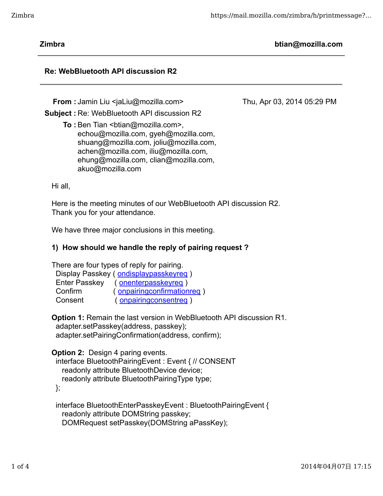Thu, Apr 03, 2014 05:29 PM

**Zimbra btian@mozilla.com**

# **Re: WebBluetooth API discussion R2**

**From : Jamin Liu <jaLiu@mozilla.com>** 

**Subject :** Re: WebBluetooth API discussion R2

**To** : Ben Tian <br />btian@mozilla.com>, echou@mozilla.com, gyeh@mozilla.com, shuang@mozilla.com, joliu@mozilla.com, achen@mozilla.com, iliu@mozilla.com, ehung@mozilla.com, clian@mozilla.com, akuo@mozilla.com

Hi all,

Here is the meeting minutes of our WebBluetooth API discussion R2. Thank you for your attendance.

We have three major conclusions in this meeting.

# **1) How should we handle the reply of pairing request ?**

There are four types of reply for pairing.

|                      | Display Passkey (ondisplaypasskeyreg) |
|----------------------|---------------------------------------|
| <b>Enter Passkey</b> | (onenterpasskeyreg)                   |
| Confirm              | (onpairingconfirmationreg)            |
| Consent              | (onpairingconsentreg)                 |

**Option 1:** Remain the last version in WebBluetooth API discussion R1. adapter.setPasskey(address, passkey); adapter.setPairingConfirmation(address, confirm);

**Option 2:** Design 4 paring events. interface BluetoothPairingEvent : Event { // CONSENT readonly attribute BluetoothDevice device;

readonly attribute BluetoothPairingType type;

};

 interface BluetoothEnterPasskeyEvent : BluetoothPairingEvent { readonly attribute DOMString passkey; DOMRequest setPasskey(DOMString aPassKey);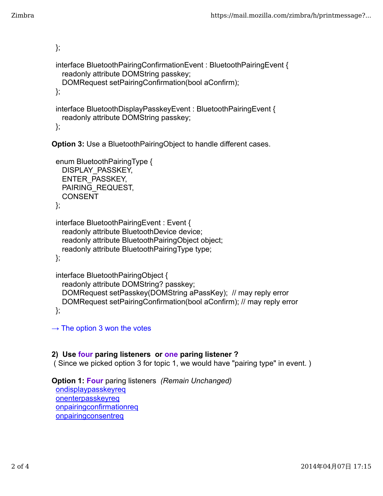```
 };
interface BluetoothPairingConfirmationEvent : BluetoothPairingEvent {
 readonly attribute DOMString passkey;
 DOMRequest setPairingConfirmation(bool aConfirm);
};
interface BluetoothDisplayPasskeyEvent : BluetoothPairingEvent {
 readonly attribute DOMString passkey;
```
};

**Option 3: Use a BluetoothPairingObject to handle different cases.** 

```
 enum BluetoothPairingType {
 DISPLAY_PASSKEY,
 ENTER_PASSKEY,
 PAIRING_REQUEST,
 CONSENT
};
```

```
 interface BluetoothPairingEvent : Event {
  readonly attribute BluetoothDevice device;
  readonly attribute BluetoothPairingObject object;
  readonly attribute BluetoothPairingType type;
```
};

```
 interface BluetoothPairingObject {
 readonly attribute DOMString? passkey;
 DOMRequest setPasskey(DOMString aPassKey); // may reply error
 DOMRequest setPairingConfirmation(bool aConfirm); // may reply error
};
```
→ The option 3 won the votes

#### **2) Use four paring listeners or one paring listener ?**

( Since we picked option 3 for topic 1, we would have "pairing type" in event. )

**Option 1: Four** paring listeners *(Remain Unchanged)* ondisplaypasskeyreq onenterpasskeyreq onpairingconfirmationreq **onpairingconsentreq**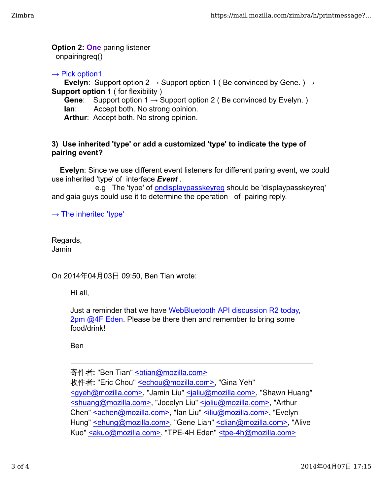**Option 2: One** paring listener onpairingreq()

→ Pick option1

 **Evelyn**: Support option 2 **→** Support option 1 ( Be convinced by Gene. ) **→ Support option 1** ( for flexibility )

 **Gene**: Support option 1 **→** Support option 2 ( Be convinced by Evelyn. ) **Ian:** Accept both. No strong opinion.

 **Arthur**: Accept both. No strong opinion.

### **3) Use inherited 'type' or add a customized 'type' to indicate the type of pairing event?**

 **Evelyn**: Since we use different event listeners for different paring event, we could use inherited 'type' of interface *Event* .

e.g The 'type' of **ondisplaypasskeyreq** should be 'displaypasskeyreq' and gaia guys could use it to determine the operation of pairing reply.

→ The inherited 'type'

Regards, Jamin

On 2014年04月03日 09:50, Ben Tian wrote:

Hi all,

Just a reminder that we have WebBluetooth API discussion R2 today, 2pm @4F Eden. Please be there then and remember to bring some food/drink!

Ben

寄件者**:** "Ben Tian" <btian@mozilla.com> 收件者**:** "Eric Chou" <echou@mozilla.com>, "Gina Yeh" <gyeh@mozilla.com>, "Jamin Liu" <jaliu@mozilla.com>, "Shawn Huang" <shuang@mozilla.com>, "Jocelyn Liu" <joliu@mozilla.com>, "Arthur Chen" <achen@mozilla.com>, "Ian Liu" <iliu@mozilla.com>, "Evelyn Hung" sehung@mozilla.com>, "Gene Lian" sclian@mozilla.com>, "Alive Kuo" <akuo@mozilla.com>, "TPE-4H Eden" <tpe-4h@mozilla.com>